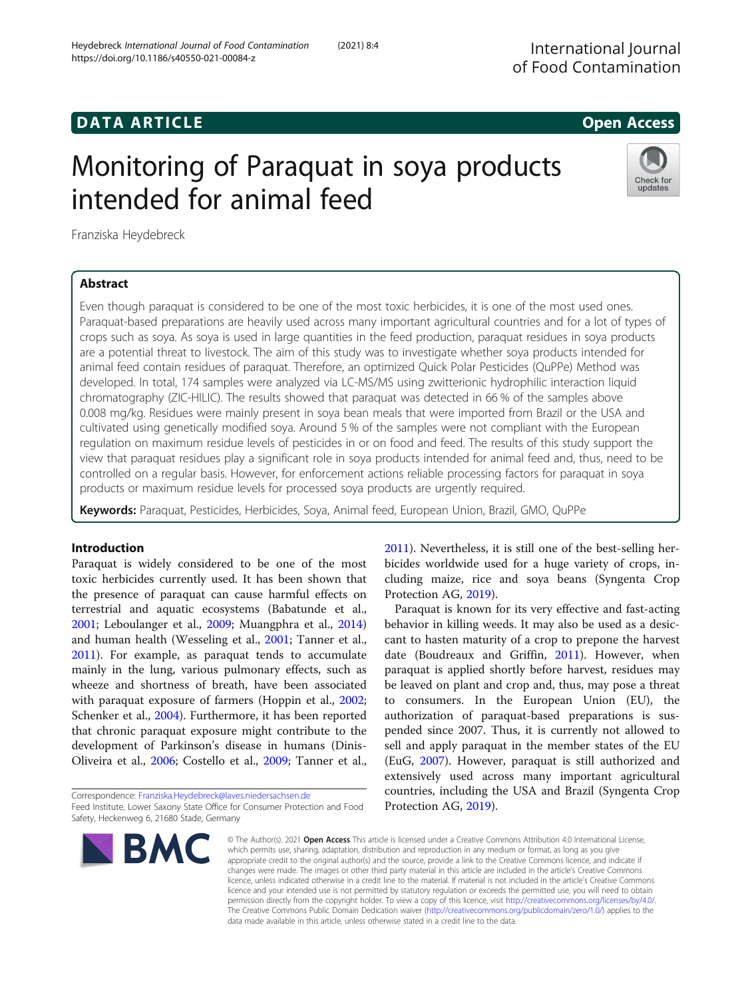# Monitoring of Paraquat in soya products intended for animal feed



Franziska Heydebreck

# Abstract

Even though paraquat is considered to be one of the most toxic herbicides, it is one of the most used ones. Paraquat-based preparations are heavily used across many important agricultural countries and for a lot of types of crops such as soya. As soya is used in large quantities in the feed production, paraquat residues in soya products are a potential threat to livestock. The aim of this study was to investigate whether soya products intended for animal feed contain residues of paraquat. Therefore, an optimized Quick Polar Pesticides (QuPPe) Method was developed. In total, 174 samples were analyzed via LC-MS/MS using zwitterionic hydrophilic interaction liquid chromatography (ZIC-HILIC). The results showed that paraquat was detected in 66 % of the samples above 0.008 mg/kg. Residues were mainly present in soya bean meals that were imported from Brazil or the USA and cultivated using genetically modified soya. Around 5 % of the samples were not compliant with the European regulation on maximum residue levels of pesticides in or on food and feed. The results of this study support the view that paraquat residues play a significant role in soya products intended for animal feed and, thus, need to be controlled on a regular basis. However, for enforcement actions reliable processing factors for paraquat in soya products or maximum residue levels for processed soya products are urgently required.

Keywords: Paraquat, Pesticides, Herbicides, Soya, Animal feed, European Union, Brazil, GMO, QuPPe

# Introduction

Paraquat is widely considered to be one of the most toxic herbicides currently used. It has been shown that the presence of paraquat can cause harmful effects on terrestrial and aquatic ecosystems (Babatunde et al., [2001](#page-7-0); Leboulanger et al., [2009](#page-7-0); Muangphra et al., [2014](#page-7-0)) and human health (Wesseling et al., [2001](#page-8-0); Tanner et al., [2011](#page-8-0)). For example, as paraquat tends to accumulate mainly in the lung, various pulmonary effects, such as wheeze and shortness of breath, have been associated with paraquat exposure of farmers (Hoppin et al., [2002](#page-7-0); Schenker et al., [2004](#page-8-0)). Furthermore, it has been reported that chronic paraquat exposure might contribute to the development of Parkinson's disease in humans (Dinis-Oliveira et al., [2006;](#page-7-0) Costello et al., [2009](#page-7-0); Tanner et al.,

Correspondence: [Franziska.Heydebreck@laves.niedersachsen.de](mailto:Franziska.Heydebreck@laves.niedersachsen.de) Feed Institute, Lower Saxony State Office for Consumer Protection and Food Safety, Heckenweg 6, 21680 Stade, Germany



[2011](#page-8-0)). Nevertheless, it is still one of the best-selling herbicides worldwide used for a huge variety of crops, including maize, rice and soya beans (Syngenta Crop Protection AG, [2019](#page-8-0)).

Paraquat is known for its very effective and fast-acting behavior in killing weeds. It may also be used as a desiccant to hasten maturity of a crop to prepone the harvest date (Boudreaux and Griffin, [2011](#page-7-0)). However, when paraquat is applied shortly before harvest, residues may be leaved on plant and crop and, thus, may pose a threat to consumers. In the European Union (EU), the authorization of paraquat-based preparations is suspended since 2007. Thus, it is currently not allowed to sell and apply paraquat in the member states of the EU (EuG, [2007](#page-7-0)). However, paraquat is still authorized and extensively used across many important agricultural countries, including the USA and Brazil (Syngenta Crop Protection AG, [2019](#page-8-0)).

© The Author(s), 2021 **Open Access** This article is licensed under a Creative Commons Attribution 4.0 International License, which permits use, sharing, adaptation, distribution and reproduction in any medium or format, as long as you give appropriate credit to the original author(s) and the source, provide a link to the Creative Commons licence, and indicate if changes were made. The images or other third party material in this article are included in the article's Creative Commons licence, unless indicated otherwise in a credit line to the material. If material is not included in the article's Creative Commons licence and your intended use is not permitted by statutory regulation or exceeds the permitted use, you will need to obtain permission directly from the copyright holder. To view a copy of this licence, visit [http://creativecommons.org/licenses/by/4.0/.](http://creativecommons.org/licenses/by/4.0/) The Creative Commons Public Domain Dedication waiver [\(http://creativecommons.org/publicdomain/zero/1.0/](http://creativecommons.org/publicdomain/zero/1.0/)) applies to the data made available in this article, unless otherwise stated in a credit line to the data.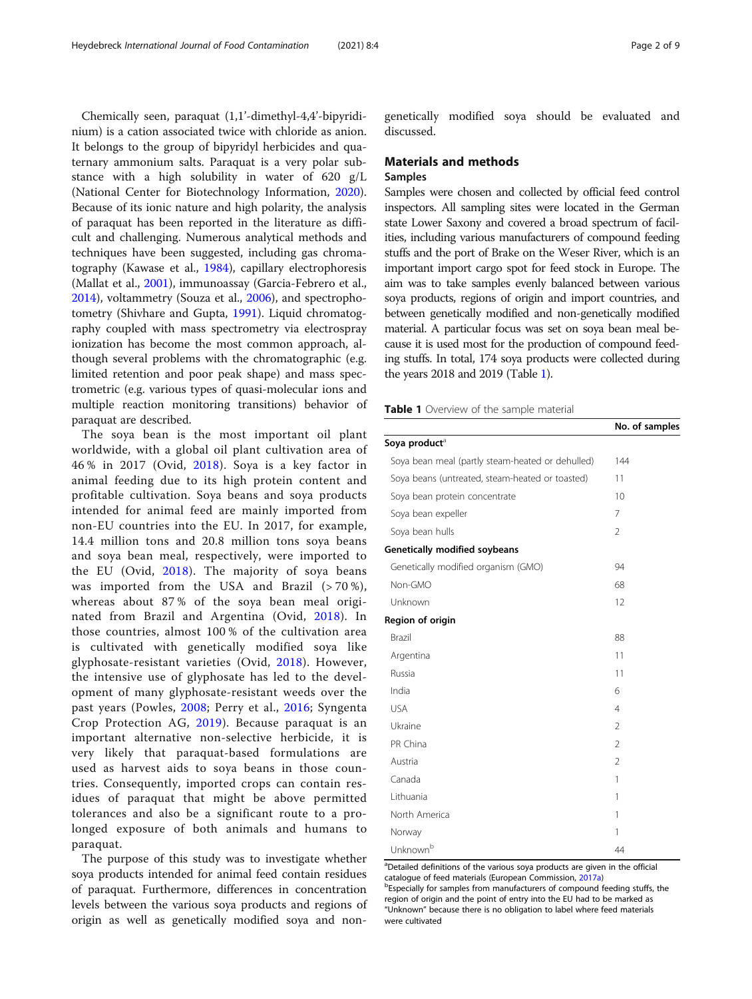<span id="page-1-0"></span>Chemically seen, paraquat (1,1'-dimethyl-4,4'-bipyridinium) is a cation associated twice with chloride as anion. It belongs to the group of bipyridyl herbicides and quaternary ammonium salts. Paraquat is a very polar substance with a high solubility in water of 620 g/L (National Center for Biotechnology Information, [2020](#page-7-0)). Because of its ionic nature and high polarity, the analysis of paraquat has been reported in the literature as difficult and challenging. Numerous analytical methods and techniques have been suggested, including gas chromatography (Kawase et al., [1984](#page-7-0)), capillary electrophoresis (Mallat et al., [2001\)](#page-7-0), immunoassay (Garcia-Febrero et al., [2014](#page-7-0)), voltammetry (Souza et al., [2006\)](#page-8-0), and spectrophotometry (Shivhare and Gupta, [1991\)](#page-8-0). Liquid chromatography coupled with mass spectrometry via electrospray ionization has become the most common approach, although several problems with the chromatographic (e.g. limited retention and poor peak shape) and mass spectrometric (e.g. various types of quasi-molecular ions and multiple reaction monitoring transitions) behavior of paraquat are described.

The soya bean is the most important oil plant worldwide, with a global oil plant cultivation area of 46 % in 2017 (Ovid, [2018\)](#page-7-0). Soya is a key factor in animal feeding due to its high protein content and profitable cultivation. Soya beans and soya products intended for animal feed are mainly imported from non-EU countries into the EU. In 2017, for example, 14.4 million tons and 20.8 million tons soya beans and soya bean meal, respectively, were imported to the EU (Ovid, [2018](#page-7-0)). The majority of soya beans was imported from the USA and Brazil  $(>70\%)$ , whereas about 87 % of the soya bean meal originated from Brazil and Argentina (Ovid, [2018\)](#page-7-0). In those countries, almost 100 % of the cultivation area is cultivated with genetically modified soya like glyphosate-resistant varieties (Ovid, [2018\)](#page-7-0). However, the intensive use of glyphosate has led to the development of many glyphosate-resistant weeds over the past years (Powles, [2008;](#page-7-0) Perry et al., [2016;](#page-7-0) Syngenta Crop Protection AG, [2019\)](#page-8-0). Because paraquat is an important alternative non-selective herbicide, it is very likely that paraquat-based formulations are used as harvest aids to soya beans in those countries. Consequently, imported crops can contain residues of paraquat that might be above permitted tolerances and also be a significant route to a prolonged exposure of both animals and humans to paraquat.

The purpose of this study was to investigate whether soya products intended for animal feed contain residues of paraquat. Furthermore, differences in concentration levels between the various soya products and regions of origin as well as genetically modified soya and nongenetically modified soya should be evaluated and discussed.

# Materials and methods

# Samples

Samples were chosen and collected by official feed control inspectors. All sampling sites were located in the German state Lower Saxony and covered a broad spectrum of facilities, including various manufacturers of compound feeding stuffs and the port of Brake on the Weser River, which is an important import cargo spot for feed stock in Europe. The aim was to take samples evenly balanced between various soya products, regions of origin and import countries, and between genetically modified and non-genetically modified material. A particular focus was set on soya bean meal because it is used most for the production of compound feeding stuffs. In total, 174 soya products were collected during the years 2018 and 2019 (Table 1).

Table 1 Overview of the sample material

|                                                  | <b>NO. OF SAMPLES</b> |
|--------------------------------------------------|-----------------------|
| Soya product <sup>a</sup>                        |                       |
| Soya bean meal (partly steam-heated or dehulled) | 144                   |
| Soya beans (untreated, steam-heated or toasted)  | 11                    |
| Soya bean protein concentrate                    | 10                    |
| Soya bean expeller                               | 7                     |
| Soya bean hulls                                  | $\overline{2}$        |
| <b>Genetically modified soybeans</b>             |                       |
| Genetically modified organism (GMO)              | 94                    |
| Non-GMO                                          | 68                    |
| Unknown                                          | 12                    |
| Region of origin                                 |                       |
| Brazil                                           | 88                    |
| Argentina                                        | 11                    |
| Russia                                           | 11                    |
| India                                            | 6                     |
| <b>USA</b>                                       | $\overline{4}$        |
| Ukraine                                          | $\mathfrak{D}$        |
| PR China                                         | $\overline{2}$        |
| Austria                                          | $\overline{2}$        |
| Canada                                           | $\mathbf{1}$          |
| Lithuania                                        | 1                     |
| North America                                    | 1                     |
| Norway                                           | 1                     |
| Unknown <sup>b</sup>                             | 44                    |

<sup>a</sup>Detailed definitions of the various soya products are given in the official catalogue of feed materials (European Commission, [2017a](#page-7-0))

<sup>b</sup>Especially for samples from manufacturers of compound feeding stuffs, the region of origin and the point of entry into the EU had to be marked as "Unknown" because there is no obligation to label where feed materials were cultivated

No. of samples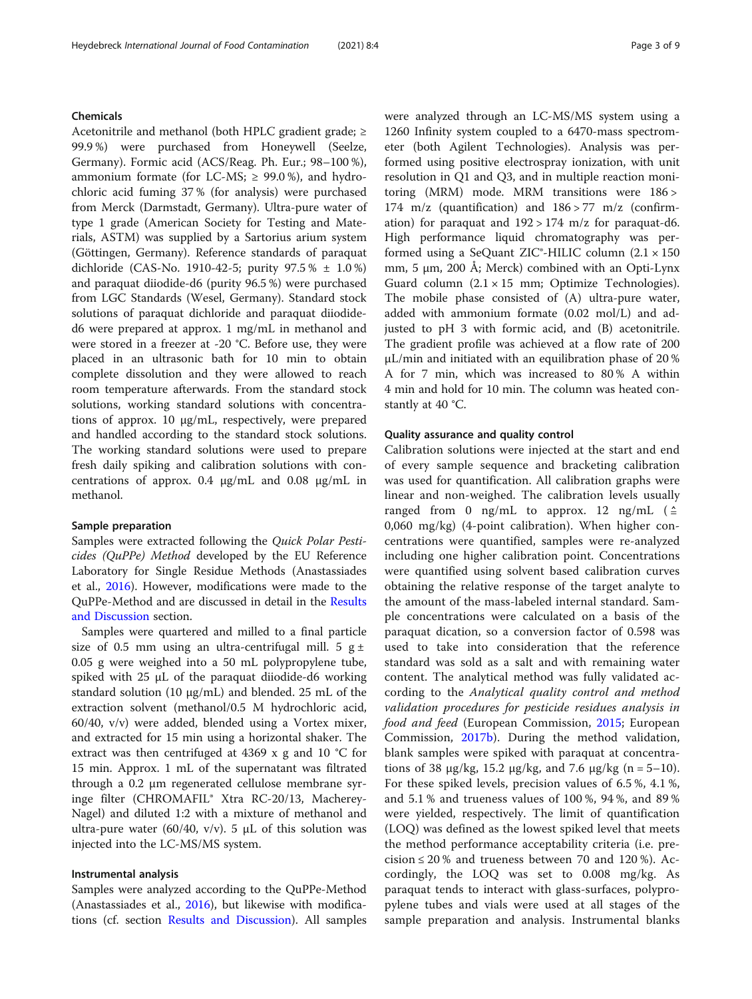# Chemicals

Acetonitrile and methanol (both HPLC gradient grade; ≥ 99.9 %) were purchased from Honeywell (Seelze, Germany). Formic acid (ACS/Reag. Ph. Eur.; 98–100 %), ammonium formate (for LC-MS;  $\geq$  99.0%), and hydrochloric acid fuming 37 % (for analysis) were purchased from Merck (Darmstadt, Germany). Ultra-pure water of type 1 grade (American Society for Testing and Materials, ASTM) was supplied by a Sartorius arium system (Göttingen, Germany). Reference standards of paraquat dichloride (CAS-No. 1910-42-5; purity 97.5 % ± 1.0 %) and paraquat diiodide-d6 (purity 96.5 %) were purchased from LGC Standards (Wesel, Germany). Standard stock solutions of paraquat dichloride and paraquat diiodided6 were prepared at approx. 1 mg/mL in methanol and were stored in a freezer at -20 °C. Before use, they were placed in an ultrasonic bath for 10 min to obtain complete dissolution and they were allowed to reach room temperature afterwards. From the standard stock solutions, working standard solutions with concentrations of approx. 10 µg/mL, respectively, were prepared and handled according to the standard stock solutions. The working standard solutions were used to prepare fresh daily spiking and calibration solutions with concentrations of approx. 0.4 µg/mL and 0.08 µg/mL in methanol.

### Sample preparation

Samples were extracted following the Quick Polar Pesticides (QuPPe) Method developed by the EU Reference Laboratory for Single Residue Methods (Anastassiades et al., [2016\)](#page-7-0). However, modifications were made to the QuPPe-Method and are discussed in detail in the [Results](#page-3-0) [and Discussion](#page-3-0) section.

Samples were quartered and milled to a final particle size of 0.5 mm using an ultra-centrifugal mill. 5  $g \pm$ 0.05 g were weighed into a 50 mL polypropylene tube, spiked with  $25 \mu L$  of the paraquat diiodide-d6 working standard solution (10 µg/mL) and blended. 25 mL of the extraction solvent (methanol/0.5 M hydrochloric acid, 60/40, v/v) were added, blended using a Vortex mixer, and extracted for 15 min using a horizontal shaker. The extract was then centrifuged at 4369 x g and 10 °C for 15 min. Approx. 1 mL of the supernatant was filtrated through a 0.2 μm regenerated cellulose membrane syringe filter (CHROMAFIL® Xtra RC-20/13, Macherey-Nagel) and diluted 1:2 with a mixture of methanol and ultra-pure water (60/40, v/v). 5  $\mu$ L of this solution was injected into the LC-MS/MS system.

# Instrumental analysis

Samples were analyzed according to the QuPPe-Method (Anastassiades et al., [2016\)](#page-7-0), but likewise with modifications (cf. section [Results and Discussion\)](#page-3-0). All samples were analyzed through an LC-MS/MS system using a 1260 Infinity system coupled to a 6470-mass spectrometer (both Agilent Technologies). Analysis was performed using positive electrospray ionization, with unit resolution in Q1 and Q3, and in multiple reaction monitoring (MRM) mode. MRM transitions were 186 > 174 m/z (quantification) and  $186 > 77$  m/z (confirmation) for paraquat and  $192 > 174$  m/z for paraquat-d6. High performance liquid chromatography was performed using a SeQuant ZIC<sup>®</sup>-HILIC column  $(2.1 \times 150)$ mm, 5 μm, 200 Å; Merck) combined with an Opti-Lynx Guard column  $(2.1 \times 15$  mm; Optimize Technologies). The mobile phase consisted of (A) ultra-pure water, added with ammonium formate (0.02 mol/L) and adjusted to pH 3 with formic acid, and (B) acetonitrile. The gradient profile was achieved at a flow rate of 200 µL/min and initiated with an equilibration phase of 20 % A for 7 min, which was increased to 80 % A within 4 min and hold for 10 min. The column was heated constantly at 40 °C.

# Quality assurance and quality control

Calibration solutions were injected at the start and end of every sample sequence and bracketing calibration was used for quantification. All calibration graphs were linear and non-weighed. The calibration levels usually ranged from 0 ng/mL to approx. 12 ng/mL  $($   $\triangleq$ 0,060 mg/kg) (4-point calibration). When higher concentrations were quantified, samples were re-analyzed including one higher calibration point. Concentrations were quantified using solvent based calibration curves obtaining the relative response of the target analyte to the amount of the mass-labeled internal standard. Sample concentrations were calculated on a basis of the paraquat dication, so a conversion factor of 0.598 was used to take into consideration that the reference standard was sold as a salt and with remaining water content. The analytical method was fully validated according to the Analytical quality control and method validation procedures for pesticide residues analysis in food and feed (European Commission, [2015;](#page-7-0) European Commission, [2017b\)](#page-7-0). During the method validation, blank samples were spiked with paraquat at concentrations of 38  $\mu$ g/kg, 15.2  $\mu$ g/kg, and 7.6  $\mu$ g/kg (n = 5–10). For these spiked levels, precision values of 6.5 %, 4.1 %, and 5.1 % and trueness values of 100 %, 94 %, and 89 % were yielded, respectively. The limit of quantification (LOQ) was defined as the lowest spiked level that meets the method performance acceptability criteria (i.e. precision  $\leq 20$  % and trueness between 70 and 120 %). Accordingly, the LOQ was set to 0.008 mg/kg. As paraquat tends to interact with glass-surfaces, polypropylene tubes and vials were used at all stages of the sample preparation and analysis. Instrumental blanks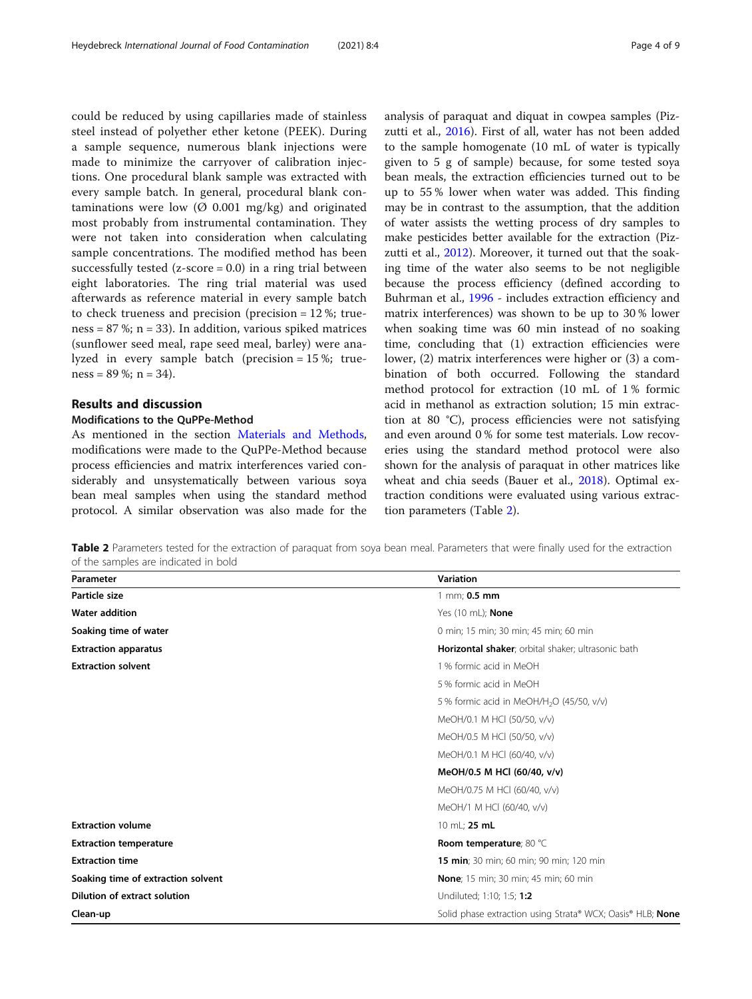<span id="page-3-0"></span>could be reduced by using capillaries made of stainless steel instead of polyether ether ketone (PEEK). During a sample sequence, numerous blank injections were made to minimize the carryover of calibration injections. One procedural blank sample was extracted with every sample batch. In general, procedural blank contaminations were low  $(\emptyset 0.001 \text{ mg/kg})$  and originated most probably from instrumental contamination. They were not taken into consideration when calculating sample concentrations. The modified method has been successfully tested  $(z-score = 0.0)$  in a ring trial between eight laboratories. The ring trial material was used afterwards as reference material in every sample batch to check trueness and precision (precision = 12 %; trueness =  $87\%$ ; n =  $33$ ). In addition, various spiked matrices (sunflower seed meal, rape seed meal, barley) were analyzed in every sample batch (precision = 15 %; trueness =  $89\%$ ; n =  $34$ ).

# Results and discussion

# Modifications to the QuPPe-Method

As mentioned in the section [Materials and Methods](#page-1-0), modifications were made to the QuPPe-Method because process efficiencies and matrix interferences varied considerably and unsystematically between various soya bean meal samples when using the standard method protocol. A similar observation was also made for the analysis of paraquat and diquat in cowpea samples (Pizzutti et al., [2016\)](#page-7-0). First of all, water has not been added to the sample homogenate (10 mL of water is typically given to 5 g of sample) because, for some tested soya bean meals, the extraction efficiencies turned out to be up to 55 % lower when water was added. This finding may be in contrast to the assumption, that the addition of water assists the wetting process of dry samples to make pesticides better available for the extraction (Piz-zutti et al., [2012](#page-7-0)). Moreover, it turned out that the soaking time of the water also seems to be not negligible because the process efficiency (defined according to Buhrman et al., [1996](#page-7-0) - includes extraction efficiency and matrix interferences) was shown to be up to 30 % lower when soaking time was 60 min instead of no soaking time, concluding that (1) extraction efficiencies were lower, (2) matrix interferences were higher or (3) a combination of both occurred. Following the standard method protocol for extraction (10 mL of 1 % formic acid in methanol as extraction solution; 15 min extraction at 80 °C), process efficiencies were not satisfying and even around 0 % for some test materials. Low recoveries using the standard method protocol were also shown for the analysis of paraquat in other matrices like wheat and chia seeds (Bauer et al., [2018\)](#page-7-0). Optimal extraction conditions were evaluated using various extraction parameters (Table 2).

Table 2 Parameters tested for the extraction of paraquat from soya bean meal. Parameters that were finally used for the extraction of the samples are indicated in bold

| Parameter                           | <b>Variation</b>                                           |  |
|-------------------------------------|------------------------------------------------------------|--|
| Particle size                       | 1 mm; 0.5 mm                                               |  |
| <b>Water addition</b>               | Yes (10 mL); <b>None</b>                                   |  |
| Soaking time of water               | 0 min; 15 min; 30 min; 45 min; 60 min                      |  |
| <b>Extraction apparatus</b>         | Horizontal shaker; orbital shaker; ultrasonic bath         |  |
| <b>Extraction solvent</b>           | 1 % formic acid in MeOH                                    |  |
|                                     | 5 % formic acid in MeOH                                    |  |
|                                     | 5% formic acid in MeOH/H <sub>2</sub> O (45/50, v/v)       |  |
|                                     | MeOH/0.1 M HCI (50/50, v/v)                                |  |
|                                     | MeOH/0.5 M HCI (50/50, v/v)                                |  |
|                                     | MeOH/0.1 M HCI (60/40, v/v)                                |  |
|                                     | MeOH/0.5 M HCl (60/40, v/v)                                |  |
|                                     | MeOH/0.75 M HCl (60/40, v/v)                               |  |
|                                     | MeOH/1 M HCI (60/40, v/v)                                  |  |
| <b>Extraction volume</b>            | 10 mL; 25 mL                                               |  |
| <b>Extraction temperature</b>       | Room temperature; 80 °C                                    |  |
| <b>Extraction time</b>              | <b>15 min</b> ; 30 min; 60 min; 90 min; 120 min            |  |
| Soaking time of extraction solvent  | <b>None</b> ; 15 min; 30 min; 45 min; 60 min               |  |
| <b>Dilution of extract solution</b> | Undiluted; 1:10; 1:5; 1:2                                  |  |
| Clean-up                            | Solid phase extraction using Strata® WCX; Oasis® HLB; None |  |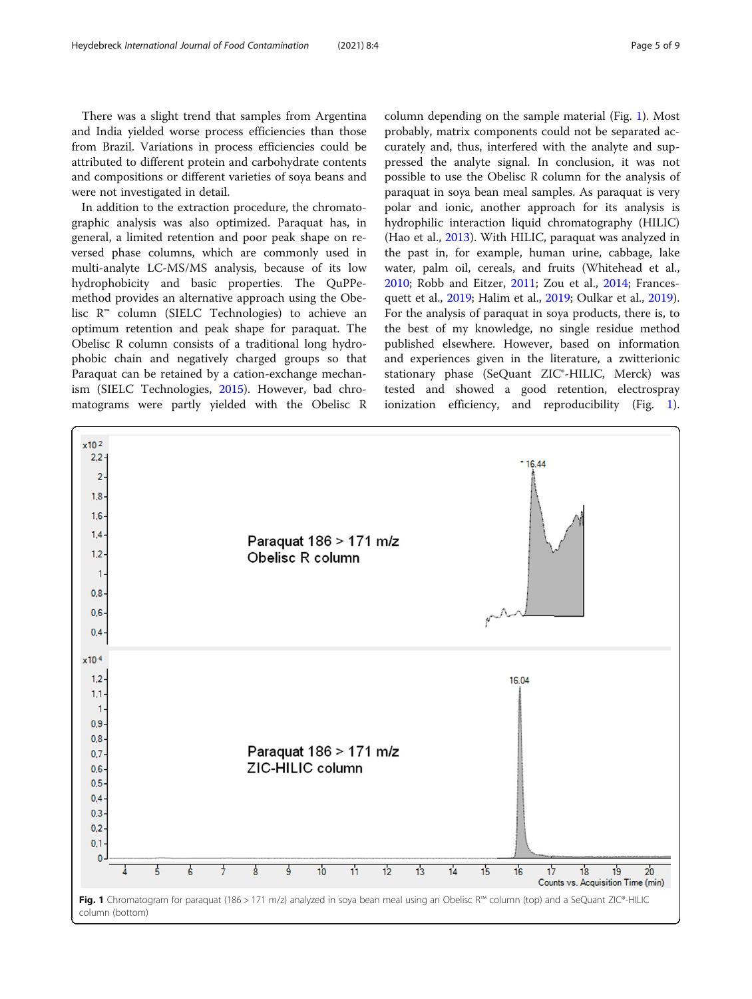There was a slight trend that samples from Argentina and India yielded worse process efficiencies than those from Brazil. Variations in process efficiencies could be attributed to different protein and carbohydrate contents and compositions or different varieties of soya beans and were not investigated in detail.

In addition to the extraction procedure, the chromatographic analysis was also optimized. Paraquat has, in general, a limited retention and poor peak shape on reversed phase columns, which are commonly used in multi-analyte LC-MS/MS analysis, because of its low hydrophobicity and basic properties. The QuPPemethod provides an alternative approach using the Obelisc R™ column (SIELC Technologies) to achieve an optimum retention and peak shape for paraquat. The Obelisc R column consists of a traditional long hydrophobic chain and negatively charged groups so that Paraquat can be retained by a cation-exchange mechanism (SIELC Technologies, [2015](#page-8-0)). However, bad chromatograms were partly yielded with the Obelisc R

column depending on the sample material (Fig. 1). Most probably, matrix components could not be separated accurately and, thus, interfered with the analyte and suppressed the analyte signal. In conclusion, it was not possible to use the Obelisc R column for the analysis of paraquat in soya bean meal samples. As paraquat is very polar and ionic, another approach for its analysis is hydrophilic interaction liquid chromatography (HILIC) (Hao et al., [2013](#page-7-0)). With HILIC, paraquat was analyzed in the past in, for example, human urine, cabbage, lake water, palm oil, cereals, and fruits (Whitehead et al., [2010](#page-8-0); Robb and Eitzer, [2011](#page-7-0); Zou et al., [2014;](#page-8-0) Francesquett et al., [2019;](#page-7-0) Halim et al., [2019;](#page-7-0) Oulkar et al., [2019](#page-7-0)). For the analysis of paraquat in soya products, there is, to the best of my knowledge, no single residue method published elsewhere. However, based on information and experiences given in the literature, a zwitterionic stationary phase (SeQuant ZIC®-HILIC, Merck) was tested and showed a good retention, electrospray ionization efficiency, and reproducibility (Fig. 1).

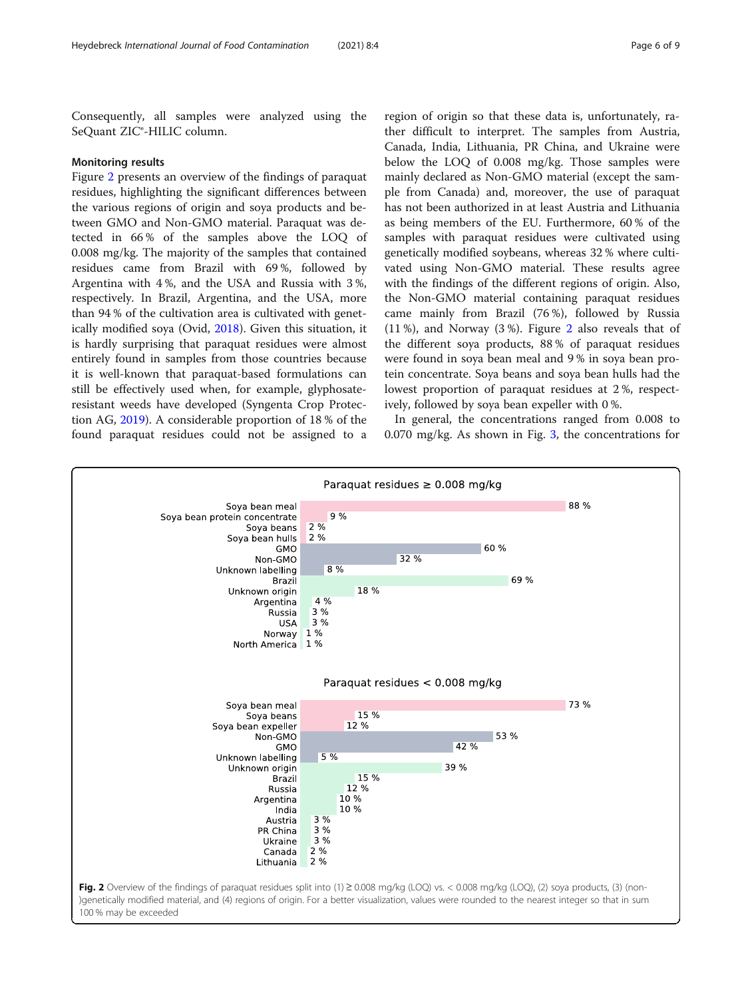Consequently, all samples were analyzed using the SeQuant ZIC®-HILIC column.

# Monitoring results

Figure 2 presents an overview of the findings of paraquat residues, highlighting the significant differences between the various regions of origin and soya products and between GMO and Non-GMO material. Paraquat was detected in 66 % of the samples above the LOQ of 0.008 mg/kg. The majority of the samples that contained residues came from Brazil with 69 %, followed by Argentina with 4 %, and the USA and Russia with 3 %, respectively. In Brazil, Argentina, and the USA, more than 94 % of the cultivation area is cultivated with genetically modified soya (Ovid, [2018\)](#page-7-0). Given this situation, it is hardly surprising that paraquat residues were almost entirely found in samples from those countries because it is well-known that paraquat-based formulations can still be effectively used when, for example, glyphosateresistant weeds have developed (Syngenta Crop Protection AG, [2019\)](#page-8-0). A considerable proportion of 18 % of the found paraquat residues could not be assigned to a

region of origin so that these data is, unfortunately, rather difficult to interpret. The samples from Austria, Canada, India, Lithuania, PR China, and Ukraine were below the LOQ of 0.008 mg/kg. Those samples were mainly declared as Non-GMO material (except the sample from Canada) and, moreover, the use of paraquat has not been authorized in at least Austria and Lithuania as being members of the EU. Furthermore, 60 % of the samples with paraquat residues were cultivated using genetically modified soybeans, whereas 32 % where cultivated using Non-GMO material. These results agree with the findings of the different regions of origin. Also, the Non-GMO material containing paraquat residues came mainly from Brazil (76 %), followed by Russia (11 %), and Norway (3 %). Figure 2 also reveals that of the different soya products, 88 % of paraquat residues were found in soya bean meal and 9 % in soya bean protein concentrate. Soya beans and soya bean hulls had the lowest proportion of paraquat residues at 2 %, respectively, followed by soya bean expeller with 0 %.

In general, the concentrations ranged from 0.008 to 0.070 mg/kg. As shown in Fig. [3,](#page-6-0) the concentrations for

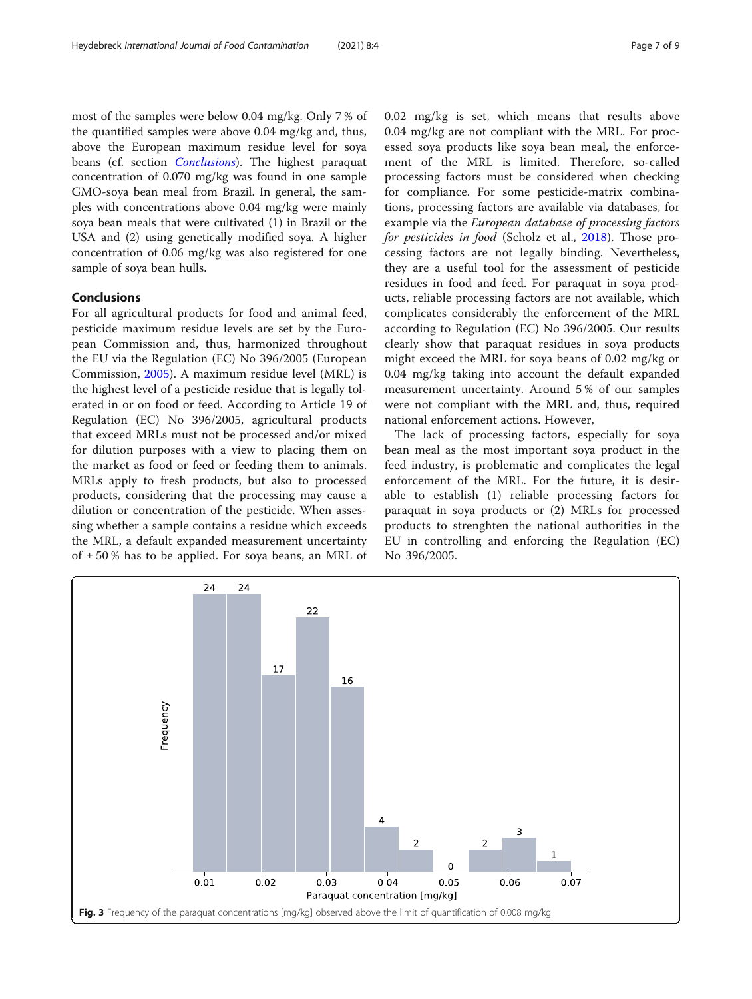<span id="page-6-0"></span>most of the samples were below 0.04 mg/kg. Only 7 % of the quantified samples were above 0.04 mg/kg and, thus, above the European maximum residue level for soya beans (cf. section *Conclusions*). The highest paraquat concentration of 0.070 mg/kg was found in one sample GMO-soya bean meal from Brazil. In general, the samples with concentrations above 0.04 mg/kg were mainly soya bean meals that were cultivated (1) in Brazil or the USA and (2) using genetically modified soya. A higher concentration of 0.06 mg/kg was also registered for one sample of soya bean hulls.

# Conclusions

For all agricultural products for food and animal feed, pesticide maximum residue levels are set by the European Commission and, thus, harmonized throughout the EU via the Regulation (EC) No 396/2005 (European Commission, [2005](#page-7-0)). A maximum residue level (MRL) is the highest level of a pesticide residue that is legally tolerated in or on food or feed. According to Article 19 of Regulation (EC) No 396/2005, agricultural products that exceed MRLs must not be processed and/or mixed for dilution purposes with a view to placing them on the market as food or feed or feeding them to animals. MRLs apply to fresh products, but also to processed products, considering that the processing may cause a dilution or concentration of the pesticide. When assessing whether a sample contains a residue which exceeds the MRL, a default expanded measurement uncertainty of  $\pm$  50 % has to be applied. For soya beans, an MRL of 0.02 mg/kg is set, which means that results above 0.04 mg/kg are not compliant with the MRL. For processed soya products like soya bean meal, the enforcement of the MRL is limited. Therefore, so-called processing factors must be considered when checking for compliance. For some pesticide-matrix combinations, processing factors are available via databases, for example via the European database of processing factors for pesticides in food (Scholz et al., [2018\)](#page-8-0). Those processing factors are not legally binding. Nevertheless, they are a useful tool for the assessment of pesticide residues in food and feed. For paraquat in soya products, reliable processing factors are not available, which complicates considerably the enforcement of the MRL according to Regulation (EC) No 396/2005. Our results clearly show that paraquat residues in soya products might exceed the MRL for soya beans of 0.02 mg/kg or 0.04 mg/kg taking into account the default expanded measurement uncertainty. Around 5 % of our samples were not compliant with the MRL and, thus, required national enforcement actions. However,

The lack of processing factors, especially for soya bean meal as the most important soya product in the feed industry, is problematic and complicates the legal enforcement of the MRL. For the future, it is desirable to establish (1) reliable processing factors for paraquat in soya products or (2) MRLs for processed products to strenghten the national authorities in the EU in controlling and enforcing the Regulation (EC) No 396/2005.

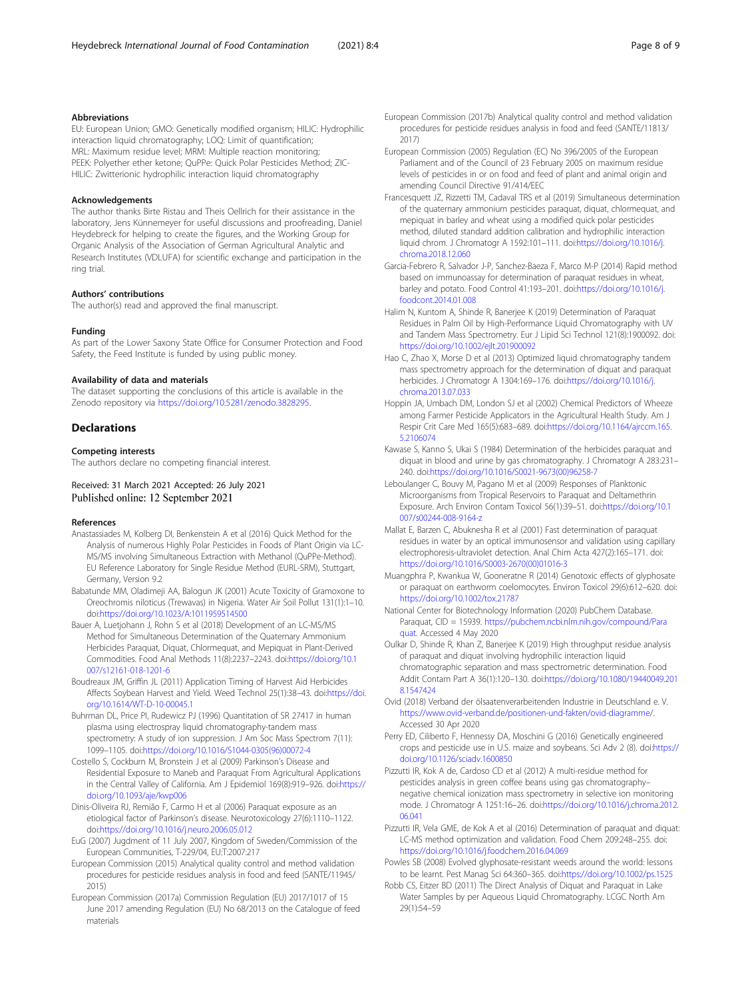#### <span id="page-7-0"></span>Abbreviations

EU: European Union; GMO: Genetically modified organism; HILIC: Hydrophilic interaction liquid chromatography; LOQ: Limit of quantification; MRL: Maximum residue level; MRM: Multiple reaction monitoring; PEEK: Polyether ether ketone; QuPPe: Quick Polar Pesticides Method; ZIC-HILIC: Zwitterionic hydrophilic interaction liquid chromatography

#### Acknowledgements

The author thanks Birte Ristau and Theis Oellrich for their assistance in the laboratory, Jens Künnemeyer for useful discussions and proofreading, Daniel Heydebreck for helping to create the figures, and the Working Group for Organic Analysis of the Association of German Agricultural Analytic and Research Institutes (VDLUFA) for scientific exchange and participation in the ring trial.

#### Authors' contributions

The author(s) read and approved the final manuscript.

#### Funding

As part of the Lower Saxony State Office for Consumer Protection and Food Safety, the Feed Institute is funded by using public money.

#### Availability of data and materials

The dataset supporting the conclusions of this article is available in the Zenodo repository via <https://doi.org/10.5281/zenodo.3828295>.

#### Declarations

# Competing interests

The authors declare no competing financial interest.

#### Received: 31 March 2021 Accepted: 26 July 2021 Published online: 12 September 2021

#### References

- Anastassiades M, Kolberg DI, Benkenstein A et al (2016) Quick Method for the Analysis of numerous Highly Polar Pesticides in Foods of Plant Origin via LC-MS/MS involving Simultaneous Extraction with Methanol (QuPPe-Method). EU Reference Laboratory for Single Residue Method (EURL-SRM), Stuttgart, Germany, Version 9.2
- Babatunde MM, Oladimeji AA, Balogun JK (2001) Acute Toxicity of Gramoxone to Oreochromis niloticus (Trewavas) in Nigeria. Water Air Soil Pollut 131(1):1–10. doi[:https://doi.org/10.1023/A:1011959514500](https://doi.org/10.1023/A:1011959514500)
- Bauer A, Luetjohann J, Rohn S et al (2018) Development of an LC-MS/MS Method for Simultaneous Determination of the Quaternary Ammonium Herbicides Paraquat, Diquat, Chlormequat, and Mepiquat in Plant-Derived Commodities. Food Anal Methods 11(8):2237–2243. doi:[https://doi.org/10.1](https://doi.org/10.1007/s12161-018-1201-6) [007/s12161-018-1201-6](https://doi.org/10.1007/s12161-018-1201-6)
- Boudreaux JM, Griffin JL (2011) Application Timing of Harvest Aid Herbicides Affects Soybean Harvest and Yield. Weed Technol 25(1):38–43. doi[:https://doi.](https://doi.org/10.1614/WT-D-10-00045.1) [org/10.1614/WT-D-10-00045.1](https://doi.org/10.1614/WT-D-10-00045.1)
- Buhrman DL, Price PI, Rudewicz PJ (1996) Quantitation of SR 27417 in human plasma using electrospray liquid chromatography-tandem mass spectrometry: A study of ion suppression. J Am Soc Mass Spectrom 7(11): 1099–1105. doi[:https://doi.org/10.1016/S1044-0305\(96\)00072-4](https://doi.org/10.1016/S1044-0305(96)00072-4)
- Costello S, Cockburn M, Bronstein J et al (2009) Parkinson's Disease and Residential Exposure to Maneb and Paraquat From Agricultural Applications in the Central Valley of California. Am J Epidemiol 169(8):919–926. doi[:https://](https://doi.org/10.1093/aje/kwp006) [doi.org/10.1093/aje/kwp006](https://doi.org/10.1093/aje/kwp006)
- Dinis-Oliveira RJ, Remião F, Carmo H et al (2006) Paraquat exposure as an etiological factor of Parkinson's disease. Neurotoxicology 27(6):1110–1122. doi[:https://doi.org/10.1016/j.neuro.2006.05.012](https://doi.org/10.1016/j.neuro.2006.05.012)
- EuG (2007) Jugdment of 11 July 2007, Kingdom of Sweden/Commission of the European Communities, T-229/04, EU:T:2007:217
- European Commission (2015) Analytical quality control and method validation procedures for pesticide residues analysis in food and feed (SANTE/11945/ 2015)
- European Commission (2017a) Commission Regulation (EU) 2017/1017 of 15 June 2017 amending Regulation (EU) No 68/2013 on the Catalogue of feed materials
- European Commission (2017b) Analytical quality control and method validation procedures for pesticide residues analysis in food and feed (SANTE/11813/ 2017)
- European Commission (2005) Regulation (EC) No 396/2005 of the European Parliament and of the Council of 23 February 2005 on maximum residue levels of pesticides in or on food and feed of plant and animal origin and amending Council Directive 91/414/EEC
- Francesquett JZ, Rizzetti TM, Cadaval TRS et al (2019) Simultaneous determination of the quaternary ammonium pesticides paraquat, diquat, chlormequat, and mepiquat in barley and wheat using a modified quick polar pesticides method, diluted standard addition calibration and hydrophilic interaction liquid chrom. J Chromatogr A 1592:101-111. doi:[https://doi.org/10.1016/j.](https://doi.org/10.1016/j.chroma.2018.12.060) [chroma.2018.12.060](https://doi.org/10.1016/j.chroma.2018.12.060)
- Garcia-Febrero R, Salvador J-P, Sanchez-Baeza F, Marco M-P (2014) Rapid method based on immunoassay for determination of paraquat residues in wheat, barley and potato. Food Control 41:193–201. doi:[https://doi.org/10.1016/j.](https://doi.org/10.1016/j.foodcont.2014.01.008) [foodcont.2014.01.008](https://doi.org/10.1016/j.foodcont.2014.01.008)
- Halim N, Kuntom A, Shinde R, Banerjee K (2019) Determination of Paraquat Residues in Palm Oil by High-Performance Liquid Chromatography with UV and Tandem Mass Spectrometry. Eur J Lipid Sci Technol 121(8):1900092. doi: <https://doi.org/10.1002/ejlt.201900092>
- Hao C, Zhao X, Morse D et al (2013) Optimized liquid chromatography tandem mass spectrometry approach for the determination of diquat and paraquat herbicides. J Chromatogr A 1304:169–176. doi[:https://doi.org/10.1016/j.](https://doi.org/10.1016/j.chroma.2013.07.033) [chroma.2013.07.033](https://doi.org/10.1016/j.chroma.2013.07.033)
- Hoppin JA, Umbach DM, London SJ et al (2002) Chemical Predictors of Wheeze among Farmer Pesticide Applicators in the Agricultural Health Study. Am J Respir Crit Care Med 165(5):683–689. doi:[https://doi.org/10.1164/ajrccm.165.](https://doi.org/10.1164/ajrccm.165.5.2106074) [5.2106074](https://doi.org/10.1164/ajrccm.165.5.2106074)
- Kawase S, Kanno S, Ukai S (1984) Determination of the herbicides paraquat and diquat in blood and urine by gas chromatography. J Chromatogr A 283:231– 240. doi:[https://doi.org/10.1016/S0021-9673\(00\)96258-7](https://doi.org/10.1016/S0021-9673(00)96258-7)
- Leboulanger C, Bouvy M, Pagano M et al (2009) Responses of Planktonic Microorganisms from Tropical Reservoirs to Paraquat and Deltamethrin Exposure. Arch Environ Contam Toxicol 56(1):39–51. doi[:https://doi.org/10.1](https://doi.org/10.1007/s00244-008-9164-z) [007/s00244-008-9164-z](https://doi.org/10.1007/s00244-008-9164-z)
- Mallat E, Barzen C, Abuknesha R et al (2001) Fast determination of paraquat residues in water by an optical immunosensor and validation using capillary electrophoresis-ultraviolet detection. Anal Chim Acta 427(2):165–171. doi: [https://doi.org/10.1016/S0003-2670\(00\)01016-3](https://doi.org/10.1016/S0003-2670(00)01016-3)
- Muangphra P, Kwankua W, Gooneratne R (2014) Genotoxic effects of glyphosate or paraquat on earthworm coelomocytes. Environ Toxicol 29(6):612–620. doi: <https://doi.org/10.1002/tox.21787>
- National Center for Biotechnology Information (2020) PubChem Database. Paraquat, CID = 15939. [https://pubchem.ncbi.nlm.nih.gov/compound/Para](https://pubchem.ncbi.nlm.nih.gov/compound/Paraquat) [quat.](https://pubchem.ncbi.nlm.nih.gov/compound/Paraquat) Accessed 4 May 2020
- Oulkar D, Shinde R, Khan Z, Banerjee K (2019) High throughput residue analysis of paraquat and diquat involving hydrophilic interaction liquid chromatographic separation and mass spectrometric determination. Food Addit Contam Part A 36(1):120–130. doi[:https://doi.org/10.1080/19440049.201](https://doi.org/10.1080/19440049.2018.1547424) [8.1547424](https://doi.org/10.1080/19440049.2018.1547424)
- Ovid (2018) Verband der ölsaatenverarbeitenden Industrie in Deutschland e. V. <https://www.ovid-verband.de/positionen-und-fakten/ovid-diagramme/>. Accessed 30 Apr 2020
- Perry ED, Ciliberto F, Hennessy DA, Moschini G (2016) Genetically engineered crops and pesticide use in U.S. maize and soybeans. Sci Adv 2 (8). doi[:https://](https://doi.org/10.1126/sciadv.1600850) [doi.org/10.1126/sciadv.1600850](https://doi.org/10.1126/sciadv.1600850)
- Pizzutti IR, Kok A de, Cardoso CD et al (2012) A multi-residue method for pesticides analysis in green coffee beans using gas chromatography– negative chemical ionization mass spectrometry in selective ion monitoring mode. J Chromatogr A 1251:16–26. doi[:https://doi.org/10.1016/j.chroma.2012.](https://doi.org/10.1016/j.chroma.2012.06.041) [06.041](https://doi.org/10.1016/j.chroma.2012.06.041)
- Pizzutti IR, Vela GME, de Kok A et al (2016) Determination of paraquat and diquat: LC-MS method optimization and validation. Food Chem 209:248–255. doi: <https://doi.org/10.1016/j.foodchem.2016.04.069>
- Powles SB (2008) Evolved glyphosate-resistant weeds around the world: lessons to be learnt. Pest Manag Sci 64:360–365. doi:<https://doi.org/10.1002/ps.1525>
- Robb CS, Eitzer BD (2011) The Direct Analysis of Diquat and Paraquat in Lake Water Samples by per Aqueous Liquid Chromatography. LCGC North Am 29(1):54–59